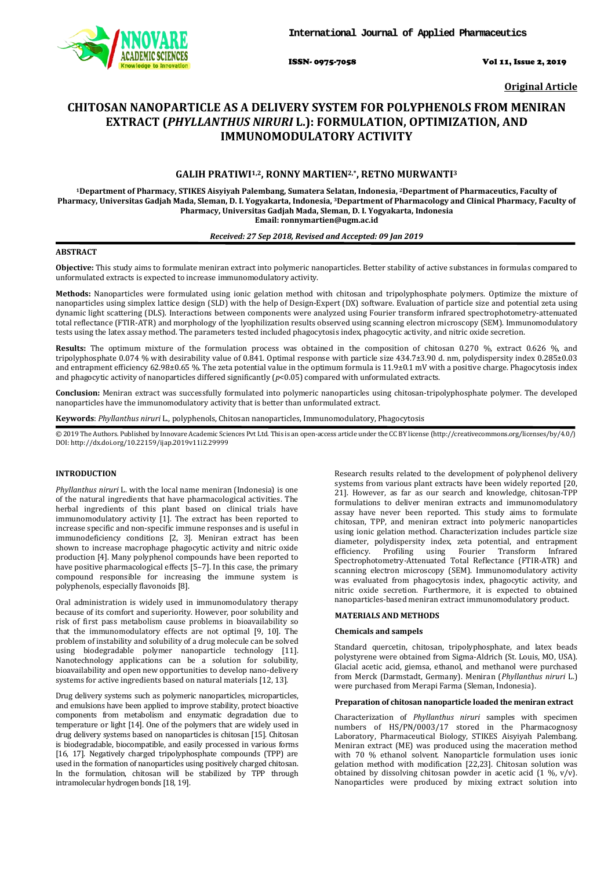

ISSN- 0975-7058 Vol 11, Issue 2, 2019

**Original Article**

# **CHITOSAN NANOPARTICLE AS A DELIVERY SYSTEM FOR POLYPHENOLS FROM MENIRAN EXTRACT (***PHYLLANTHUS NIRURI* **L.): FORMULATION, OPTIMIZATION, AND IMMUNOMODULATORY ACTIVITY**

# **GALIH PRATIWI1,2, RONNY MARTIEN2,\*, RETNO MURWANTI3**

**1Department of Pharmacy, STIKES Aisyiyah Palembang, Sumatera Selatan, Indonesia, 2Department of Pharmaceutics, Faculty of Pharmacy, Universitas Gadjah Mada, Sleman, D. I. Yogyakarta, Indonesia, 3 Department of Pharmacology and Clinical Pharmacy, Faculty of Pharmacy, Universitas Gadjah Mada, Sleman, D. I. Yogyakarta, Indonesia Email: ronnymartien@ugm.ac.id**

### *Received: 27 Sep 2018, Revised and Accepted: 09 Jan 2019*

### **ABSTRACT**

**Objective:** This study aims to formulate meniran extract into polymeric nanoparticles. Better stability of active substances in formulas compared to unformulated extracts is expected to increase immunomodulatory activity.

**Methods:** Nanoparticles were formulated using ionic gelation method with chitosan and tripolyphosphate polymers. Optimize the mixture of nanoparticles using simplex lattice design (SLD) with the help of Design-Expert (DX) software. Evaluation of particle size and potential zeta using dynamic light scattering (DLS). Interactions between components were analyzed using Fourier transform infrared spectrophotometry-attenuated total reflectance (FTIR-ATR) and morphology of the lyophilization results observed using scanning electron microscopy (SEM). Immunomodulatory tests using the latex assay method. The parameters tested included phagocytosis index, phagocytic activity, and nitric oxide secretion.

**Results:** The optimum mixture of the formulation process was obtained in the composition of chitosan 0.270 %, extract 0.626 %, and tripolyphosphate 0.074 % with desirability value of 0.841. Optimal response with particle size 434.7±3.90 d. nm, polydispersity index 0.285±0.03 and entrapment efficiency 62.98±0.65 %. The zeta potential value in the optimum formula is 11.9±0.1 mV with a positive charge. Phagocytosis index and phagocytic activity of nanoparticles differed significantly (*p*<0.05) compared with unformulated extracts.

**Conclusion:** Meniran extract was successfully formulated into polymeric nanoparticles using chitosan-tripolyphosphate polymer. The developed nanoparticles have the immunomodulatory activity that is better than unformulated extract.

**Keywords**: *Phyllanthus niruri* L., polyphenols, Chitosan nanoparticles, Immunomodulatory, Phagocytosis

© 2019 The Authors. Published by Innovare Academic Sciences Pvt Ltd. This is an open-access article under the CC BY license [\(http://creativecommons.org/licenses/by/4.0/\)](http://creativecommons.org/licenses/by/4.0/) DOI: http://dx.doi.org/10.22159/ijap.2019v11i2.29999

## **INTRODUCTION**

*Phyllanthus niruri* L. with the local name meniran (Indonesia) is one of the natural ingredients that have pharmacological activities. The herbal ingredients of this plant based on clinical trials have immunomodulatory activity [1]. The extract has been reported to increase specific and non-specific immune responses and is useful in immunodeficiency conditions [2, 3]. Meniran extract has been shown to increase macrophage phagocytic activity and nitric oxide production [4]. Many polyphenol compounds have been reported to have positive pharmacological effects [5–7]. In this case, the primary compound responsible for increasing the immune system is polyphenols, especially flavonoids [8].

Oral administration is widely used in immunomodulatory therapy because of its comfort and superiority. However, poor solubility and risk of first pass metabolism cause problems in bioavailability so that the immunomodulatory effects are not optimal [9, 10]. The problem of instability and solubility of a drug molecule can be solved using biodegradable polymer nanoparticle technology [11]. Nanotechnology applications can be a solution for solubility, bioavailability and open new opportunities to develop nano-delivery systems for active ingredients based on natural materials [12, 13].

Drug delivery systems such as polymeric nanoparticles, microparticles, and emulsions have been applied to improve stability, protect bioactive components from metabolism and enzymatic degradation due to temperature or light [14]. One of the polymers that are widely used in drug delivery systems based on nanoparticles is chitosan [15]. Chitosan is biodegradable, biocompatible, and easily processed in various forms [16, 17]. Negatively charged tripolyphosphate compounds (TPP) are used in the formation of nanoparticles using positively charged chitosan. In the formulation, chitosan will be stabilized by TPP through intramolecular hydrogen bonds [18, 19].

Research results related to the development of polyphenol delivery systems from various plant extracts have been widely reported [20, 21]. However, as far as our search and knowledge, chitosan-TPP formulations to deliver meniran extracts and immunomodulatory assay have never been reported. This study aims to formulate chitosan, TPP, and meniran extract into polymeric nanoparticles using ionic gelation method. Characterization includes particle size diameter, polydispersity index, zeta potential, and entrapment efficiency. Profiling using Fourier Transform Infrared efficiency. Profiling using Fourier Transform Infrared Spectrophotometry-Attenuated Total Reflectance (FTIR-ATR) and scanning electron microscopy (SEM). Immunomodulatory activity was evaluated from phagocytosis index, phagocytic activity, and nitric oxide secretion. Furthermore, it is expected to obtained nanoparticles-based meniran extract immunomodulatory product.

# **MATERIALS AND METHODS**

#### **Chemicals and sampels**

Standard quercetin, chitosan, tripolyphosphate, and latex beads polystyrene were obtained from Sigma-Aldrich (St. Louis, MO, USA). Glacial acetic acid, giemsa, ethanol, and methanol were purchased from Merck (Darmstadt, Germany). Meniran (*Phyllanthus niruri* L.) were purchased from Merapi Farma (Sleman, Indonesia).

### **Preparation of chitosan nanoparticle loaded the meniran extract**

Characterization of *Phyllanthus niruri* samples with specimen numbers of HS/PN/0003/17 stored in the Pharmacognosy Laboratory, Pharmaceutical Biology, STIKES Aisyiyah Palembang. Meniran extract (ME) was produced using the maceration method with 70 % ethanol solvent. Nanoparticle formulation uses ionic gelation method with modification [22,23]. Chitosan solution was obtained by dissolving chitosan powder in acetic acid (1 %, v/v). Nanoparticles were produced by mixing extract solution into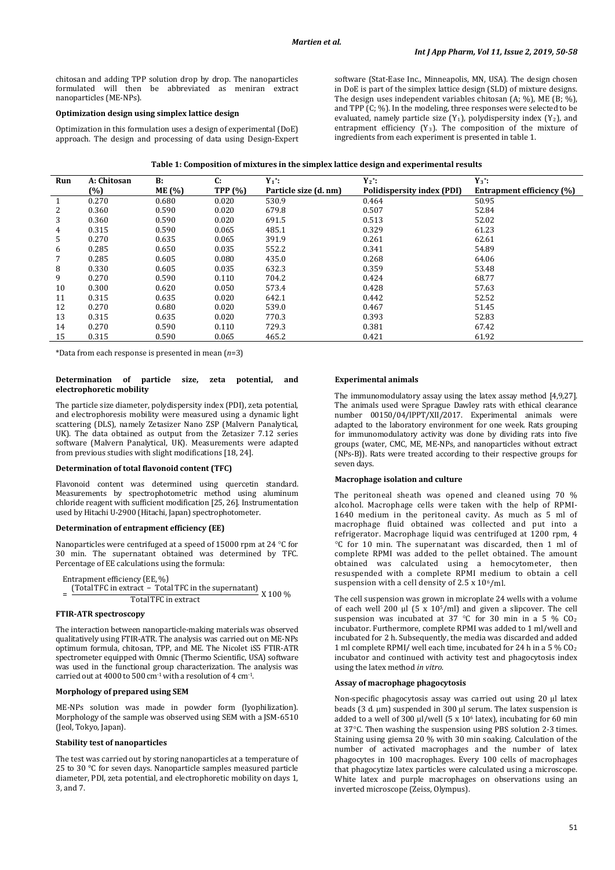chitosan and adding TPP solution drop by drop. The nanoparticles formulated will then be abbreviated as meniran extract nanoparticles (ME-NPs).

# **Optimization design using simplex lattice design**

Optimization in this formulation uses a design of experimental (DoE) approach. The design and processing of data using Design-Expert software (Stat-Ease Inc., Minneapolis, MN, USA). The design chosen in DoE is part of the simplex lattice design (SLD) of mixture designs. The design uses independent variables chitosan (A; %), ME (B; %), and TPP (C; %). In the modeling, three responses were selected to be evaluated, namely particle size  $(Y_1)$ , polydispersity index  $(Y_2)$ , and entrapment efficiency  $(Y_3)$ . The composition of the mixture of ingredients from each experiment is presented in table 1.

| Table 1: Composition of mixtures in the simplex lattice design and experimental results |  |  |  |
|-----------------------------------------------------------------------------------------|--|--|--|
|-----------------------------------------------------------------------------------------|--|--|--|

| Run          | A: Chitosan | B:            | C:             | $Y_1$ :               | $Y_2$ :                    | $Y_3^*$                   |
|--------------|-------------|---------------|----------------|-----------------------|----------------------------|---------------------------|
|              | (%)         | <b>ME</b> (%) | <b>TPP</b> (%) | Particle size (d. nm) | Polidispersity index (PDI) | Entrapment efficiency (%) |
| $\mathbf{1}$ | 0.270       | 0.680         | 0.020          | 530.9                 | 0.464                      | 50.95                     |
| 2            | 0.360       | 0.590         | 0.020          | 679.8                 | 0.507                      | 52.84                     |
| 3            | 0.360       | 0.590         | 0.020          | 691.5                 | 0.513                      | 52.02                     |
| 4            | 0.315       | 0.590         | 0.065          | 485.1                 | 0.329                      | 61.23                     |
| 5            | 0.270       | 0.635         | 0.065          | 391.9                 | 0.261                      | 62.61                     |
| 6            | 0.285       | 0.650         | 0.035          | 552.2                 | 0.341                      | 54.89                     |
| 7            | 0.285       | 0.605         | 0.080          | 435.0                 | 0.268                      | 64.06                     |
| 8            | 0.330       | 0.605         | 0.035          | 632.3                 | 0.359                      | 53.48                     |
| 9            | 0.270       | 0.590         | 0.110          | 704.2                 | 0.424                      | 68.77                     |
| 10           | 0.300       | 0.620         | 0.050          | 573.4                 | 0.428                      | 57.63                     |
| 11           | 0.315       | 0.635         | 0.020          | 642.1                 | 0.442                      | 52.52                     |
| 12           | 0.270       | 0.680         | 0.020          | 539.0                 | 0.467                      | 51.45                     |
| 13           | 0.315       | 0.635         | 0.020          | 770.3                 | 0.393                      | 52.83                     |
| 14           | 0.270       | 0.590         | 0.110          | 729.3                 | 0.381                      | 67.42                     |
| 15           | 0.315       | 0.590         | 0.065          | 465.2                 | 0.421                      | 61.92                     |

\*Data from each response is presented in mean (*n*=3)

#### **Determination of particle size, zeta potential, and electrophoretic mobility**

The particle size diameter, polydispersity index (PDI), zeta potential, and electrophoresis mobility were measured using a dynamic light scattering (DLS), namely Zetasizer Nano ZSP (Malvern Panalytical, UK). The data obtained as output from the Zetasizer 7.12 series software (Malvern Panalytical, UK). Measurements were adapted from previous studies with slight modifications [18, 24].

## **Determination of total flavonoid content (TFC)**

Flavonoid content was determined using quercetin standard. Measurements by spectrophotometric method using aluminum chloride reagent with sufficient modification [25, 26]. Instrumentation used by Hitachi U-2900 (Hitachi, Japan) spectrophotometer.

### **Determination of entrapment efficiency (EE)**

Nanoparticles were centrifuged at a speed of 15000 rpm at 24 °C for 30 min. The supernatant obtained was determined by TFC. Percentage of EE calculations using the formula:

Entrapment efficiency (EE, %)

 $=$   $\frac{(TotalTFC in extract - TotalTFC in the supernatant)}{TotalTFC in extract}$  x 100 % TotalTFC in extract

### **FTIR-ATR spectroscopy**

The interaction between nanoparticle-making materials was observed qualitatively using FTIR-ATR. The analysis was carried out on ME-NPs optimum formula, chitosan, TPP, and ME. The Nicolet iS5 FTIR-ATR spectrometer equipped with Omnic (Thermo Scientific, USA) software was used in the functional group characterization. The analysis was carried out at 4000 to 500 cm-1 with a resolution of 4 cm-1 .

### **Morphology of prepared using SEM**

ME-NPs solution was made in powder form (lyophilization). Morphology of the sample was observed using SEM with a JSM-6510 (Jeol, Tokyo, Japan).

### **Stability test of nanoparticles**

The test was carried out by storing nanoparticles at a temperature of 25 to 30 °C for seven days. Nanoparticle samples measured particle diameter, PDI, zeta potential, and electrophoretic mobility on days 1, 3, and 7.

### **Experimental animals**

The immunomodulatory assay using the latex assay method [4,9,27]. The animals used were Sprague Dawley rats with ethical clearance number 00150/04/lPPT/XII/2017. Experimental animals were adapted to the laboratory environment for one week. Rats grouping for immunomodulatory activity was done by dividing rats into five groups (water, CMC, ME, ME-NPs, and nanoparticles without extract (NPs-B)). Rats were treated according to their respective groups for seven days.

### **Macrophage isolation and culture**

The peritoneal sheath was opened and cleaned using 70 % alcohol. Macrophage cells were taken with the help of RPMI-1640 medium in the peritoneal cavity. As much as 5 ml of macrophage fluid obtained was collected and put into a refrigerator. Macrophage liquid was centrifuged at 1200 rpm, 4 °C for 10 min. The supernatant was discarded, then 1 ml of complete RPMI was added to the pellet obtained. The amount obtained was calculated using a hemocytometer, then resuspended with a complete RPMI medium to obtain a cell  $s$ uspension with a cell density of 2.5 x  $10^6$ /ml.

The cell suspension was grown in microplate 24 wells with a volume of each well  $200 \mu$  (5 x  $10^{\circ}/\text{ml}$ ) and given a slipcover. The cell suspension was incubated at  $37 \degree C$  for 30 min in a 5 % CO<sub>2</sub> incubator. Furthermore, complete RPMI was added to 1 ml/well and incubated for 2 h. Subsequently, the media was discarded and added 1 ml complete RPMI/ well each time, incubated for 24 h in a 5 % CO2 incubator and continued with activity test and phagocytosis index using the latex method *in vitro*.

### **Assay of macrophage phagocytosis**

Non-specific phagocytosis assay was carried out using 20 µl latex beads (3 d. µm) suspended in 300 µl serum. The latex suspension is added to a well of 300  $\mu$ l/well (5 x 10<sup>6</sup> latex), incubating for 60 min at 37°C. Then washing the suspension using PBS solution 2-3 times. Staining using giemsa 20 % with 30 min soaking. Calculation of the number of activated macrophages and the number of latex phagocytes in 100 macrophages. Every 100 cells of macrophages that phagocytize latex particles were calculated using a microscope. White latex and purple macrophages on observations using an inverted microscope (Zeiss, Olympus).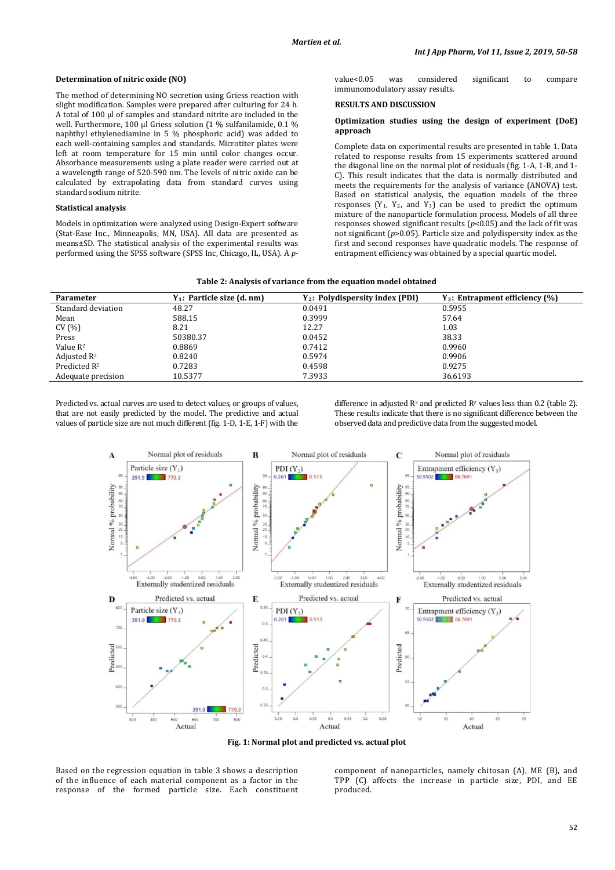# **Determination of nitric oxide (NO)**

The method of determining NO secretion using Griess reaction with slight modification. Samples were prepared after culturing for 24 h. A total of 100 µl of samples and standard nitrite are included in the well. Furthermore, 100 µl Griess solution (1 % sulfanilamide, 0.1 % naphthyl ethylenediamine in 5 % phosphoric acid) was added to each well-containing samples and standards. Microtiter plates were left at room temperature for 15 min until color changes occur. Absorbance measurements using a plate reader were carried out at a wavelength range of 520-590 nm. The levels of nitric oxide can be calculated by extrapolating data from standard curves using standard sodium nitrite.

### **Statistical analysis**

Models in optimization were analyzed using Design-Expert software (Stat-Ease Inc., Minneapolis, MN, USA). All data are presented as means±SD. The statistical analysis of the experimental results was performed using the SPSS software (SPSS Inc, Chicago, IL, USA). A *p*- value<0.05 was considered significant to compare immunomodulatory assay results.

#### **RESULTS AND DISCUSSION**

### **Optimization studies using the design of experiment (DoE) approach**

Complete data on experimental results are presented in table 1. Data related to response results from 15 experiments scattered around the diagonal line on the normal plot of residuals (fig. 1-A, 1-B, and 1- C). This result indicates that the data is normally distributed and meets the requirements for the analysis of variance (ANOVA) test. Based on statistical analysis, the equation models of the three responses  $(Y_1, Y_2,$  and  $Y_3)$  can be used to predict the optimum mixture of the nanoparticle formulation process. Models of all three responses showed significant results  $(p<0.05)$  and the lack of fit was not significant (*p*>0.05). Particle size and polydispersity index as the first and second responses have quadratic models. The response of entrapment efficiency was obtained by a special quartic model.

| Parameter                | $Y_1$ : Particle size (d. nm) | Y <sub>2</sub> : Polydispersity index (PDI) | $Y_3$ : Entrapment efficiency $(\%)$ |
|--------------------------|-------------------------------|---------------------------------------------|--------------------------------------|
| Standard deviation       | 48.27                         | 0.0491                                      | 0.5955                               |
| Mean                     | 588.15                        | 0.3999                                      | 57.64                                |
| CV(%)                    | 8.21                          | 12.27                                       | 1.03                                 |
| Press                    | 50380.37                      | 0.0452                                      | 38.33                                |
| Value R <sup>2</sup>     | 0.8869                        | 0.7412                                      | 0.9960                               |
| Adjusted $\mathbb{R}^2$  | 0.8240                        | 0.5974                                      | 0.9906                               |
| Predicted R <sup>2</sup> | 0.7283                        | 0.4598                                      | 0.9275                               |
| Adequate precision       | 10.5377                       | 7.3933                                      | 36.6193                              |

Predicted vs. actual curves are used to detect values, or groups of values, that are not easily predicted by the model. The predictive and actual values of particle size are not much different (fig. 1-D, 1-E, 1-F) with the difference in adjusted  $\mathbb{R}^2$  and predicted  $\mathbb{R}^2$  values less than 0.2 (table 2). These results indicate that there is no significant difference between the observed data and predictive data from the suggested model.



**Fig. 1: Normal plot and predicted vs. actual plot**

Based on the regression equation in table 3 shows a description of the influence of each material component as a factor in the response of the formed particle size. Each constituent component of nanoparticles, namely chitosan (A), ME (B), and TPP (C) affects the increase in particle size, PDI, and EE produced.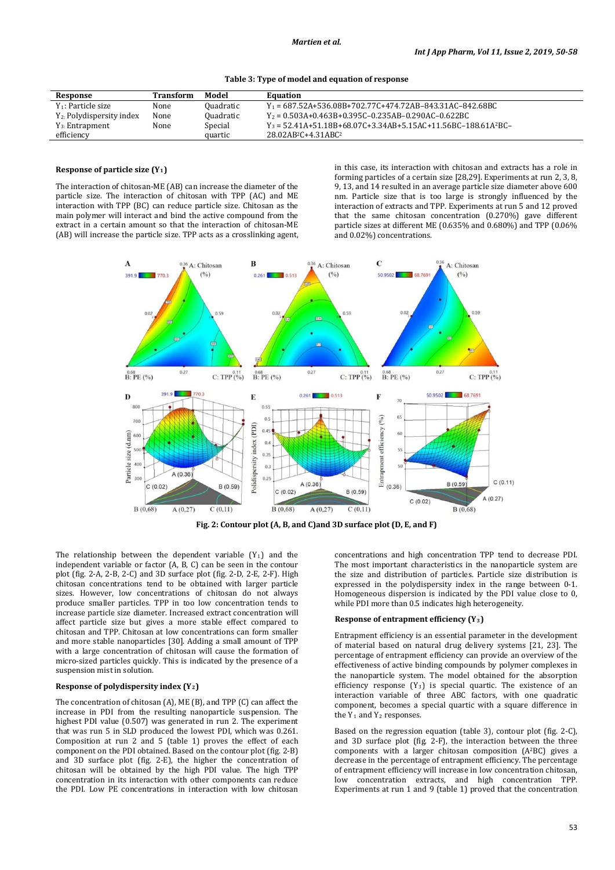**Table 3: Type of model and equation of response**

| Response                             | <b>Transform</b> | Model     | <b>Equation</b>                                                              |
|--------------------------------------|------------------|-----------|------------------------------------------------------------------------------|
| Y <sub>1</sub> : Particle size       | None             | Ouadratic | $Y_1 = 687.52A + 536.08B + 702.77C + 474.72AB - 843.31AC - 842.68BC$         |
| Y <sub>2:</sub> Polydispersity index | None             | Ouadratic | $Y_2 = 0.503A + 0.463B + 0.395C - 0.235AB - 0.290AC - 0.622BC$               |
| $Y_3$ : Entrapment                   | None             | Special   | $Y_3 = 52.41A + 51.18B + 68.07C + 3.34AB + 5.15AC + 11.56BC - 188.61A^2BC -$ |
| efficiency                           |                  | auartic   | 28.02AB <sup>2</sup> C+4.31ABC <sup>2</sup>                                  |

#### **Response of particle size (Y1 )**

The interaction of chitosan-ME (AB) can increase the diameter of the particle size. The interaction of chitosan with TPP (AC) and ME interaction with TPP (BC) can reduce particle size. Chitosan as the main polymer will interact and bind the active compound from the extract in a certain amount so that the interaction of chitosan-ME (AB) will increase the particle size. TPP acts as a crosslinking agent, in this case, its interaction with chitosan and extracts has a role in forming particles of a certain size [28,29]. Experiments at run 2, 3, 8, 9, 13, and 14 resulted in an average particle size diameter above 600 nm. Particle size that is too large is strongly influenced by the interaction of extracts and TPP. Experiments at run 5 and 12 proved that the same chitosan concentration (0.270%) gave different particle sizes at different ME (0.635% and 0.680%) and TPP (0.06% and 0.02%) concentrations.



**Fig. 2: Contour plot (A, B, and C)and 3D surface plot (D, E, and F)**

The relationship between the dependent variable  $(Y_1)$  and the independent variable or factor (A, B, C) can be seen in the contour plot (fig. 2-A, 2-B, 2-C) and 3D surface plot (fig. 2-D, 2-E, 2-F). High chitosan concentrations tend to be obtained with larger particle sizes. However, low concentrations of chitosan do not always produce smaller particles. TPP in too low concentration tends to increase particle size diameter. Increased extract concentration will affect particle size but gives a more stable effect compared to chitosan and TPP. Chitosan at low concentrations can form smaller and more stable nanoparticles [30]. Adding a small amount of TPP with a large concentration of chitosan will cause the formation of micro-sized particles quickly. This is indicated by the presence of a suspension mist in solution.

#### **Response of polydispersity index (Y 2 )**

The concentration of chitosan (A), ME (B), and TPP (C) can affect the increase in PDI from the resulting nanoparticle suspension. The highest PDI value (0.507) was generated in run 2. The experiment that was run 5 in SLD produced the lowest PDI, which was 0.261. Composition at run 2 and 5 (table 1) proves the effect of each component on the PDI obtained. Based on the contour plot (fig. 2-B) and 3D surface plot (fig. 2-E), the higher the concentration of chitosan will be obtained by the high PDI value. The high TPP concentration in its interaction with other components can reduce the PDI. Low PE concentrations in interaction with low chitosan concentrations and high concentration TPP tend to decrease PDI. The most important characteristics in the nanoparticle system are the size and distribution of particles. Particle size distribution is expressed in the polydispersity index in the range between 0-1. Homogeneous dispersion is indicated by the PDI value close to 0, while PDI more than 0.5 indicates high heterogeneity.

#### **Response of entrapment efficiency (Y3 )**

Entrapment efficiency is an essential parameter in the development of material based on natural drug delivery systems [21, 23]. The percentage of entrapment efficiency can provide an overview of the effectiveness of active binding compounds by polymer complexes in the nanoparticle system. The model obtained for the absorption efficiency response (Y 3) is special quartic. The existence of an interaction variable of three ABC factors, with one quadratic component, becomes a special quartic with a square difference in the  $Y_1$  and  $Y_2$  responses.

Based on the regression equation (table 3), contour plot (fig. 2-C), and 3D surface plot (fig. 2-F), the interaction between the three components with a larger chitosan composition (A 2BC) gives a decrease in the percentage of entrapment efficiency. The percentage of entrapment efficiency will increase in low concentration chitosan, low concentration extracts, and high concentration TPP. Experiments at run 1 and 9 (table 1) proved that the concentration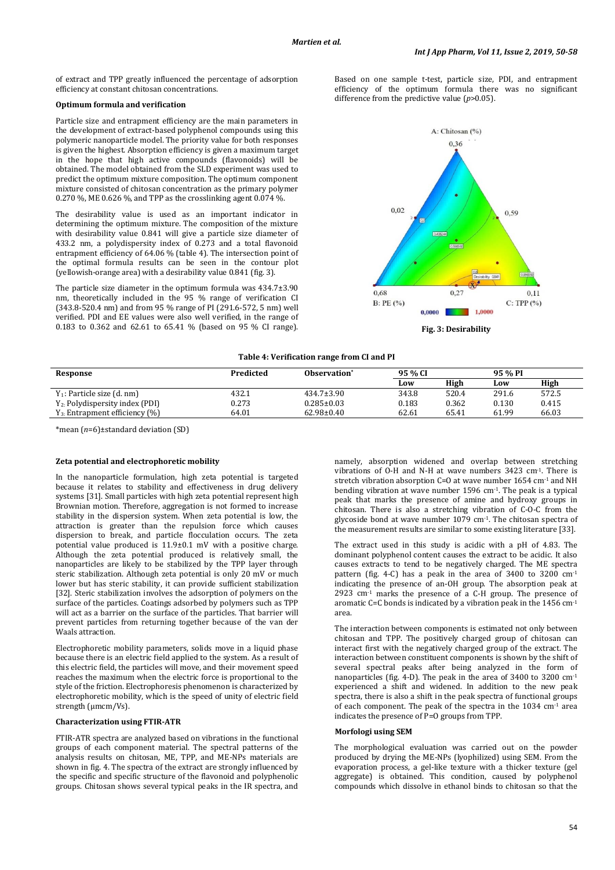of extract and TPP greatly influenced the percentage of adsorption efficiency at constant chitosan concentrations.

## **Optimum formula and verification**

Particle size and entrapment efficiency are the main parameters in the development of extract-based polyphenol compounds using this polymeric nanoparticle model. The priority value for both responses is given the highest. Absorption efficiency is given a maximum target in the hope that high active compounds (flavonoids) will be obtained. The model obtained from the SLD experiment was used to predict the optimum mixture composition. The optimum component mixture consisted of chitosan concentration as the primary polymer 0.270 %, ME 0.626 %, and TPP as the crosslinking agent 0.074 %.

The desirability value is used as an important indicator in determining the optimum mixture. The composition of the mixture with desirability value 0.841 will give a particle size diameter of 433.2 nm, a polydispersity index of 0.273 and a total flavonoid entrapment efficiency of 64.06 % (table 4). The intersection point of the optimal formula results can be seen in the contour plot (yellowish-orange area) with a desirability value 0.841 (fig. 3).

The particle size diameter in the optimum formula was 434.7±3.90 nm, theoretically included in the 95 % range of verification CI (343.8-520.4 nm) and from 95 % range of PI (291.6-572, 5 nm) well verified. PDI and EE values were also well verified, in the range of 0.183 to 0.362 and 62.61 to 65.41 % (based on 95 % CI range). Based on one sample t-test, particle size, PDI, and entrapment efficiency of the optimum formula there was no significant difference from the predictive value (*p*>0.05).



**Table 4: Verification range from CI and PI**

| Response                             | Predicted | Observation <sup>*</sup> | 95 % CI |       | 95 % PI |       |
|--------------------------------------|-----------|--------------------------|---------|-------|---------|-------|
|                                      |           |                          | Low     | High  | Low     | High  |
| $Y_1$ : Particle size (d. nm)        | 432.1     | $434.7 \pm 3.90$         | 343.8   | 520.4 | 291.6   | 572.5 |
| $Y_{2}$ : Polydispersity index (PDI) | 0.273     | $0.285 \pm 0.03$         | 0.183   | 0.362 | 0.130   | 0.415 |
| $Y_{3}$ : Entrapment efficiency (%)  | 64.01     | $62.98 \pm 0.40$         | 62.61   | 65.41 | 61.99   | 66.03 |

\*mean (*n*=6)±standard deviation (SD)

# **Zeta potential and electrophoretic mobility**

In the nanoparticle formulation, high zeta potential is targeted because it relates to stability and effectiveness in drug delivery systems [31]. Small particles with high zeta potential represent high Brownian motion. Therefore, aggregation is not formed to increase stability in the dispersion system. When zeta potential is low, the attraction is greater than the repulsion force which causes dispersion to break, and particle flocculation occurs. The zeta potential value produced is 11.9±0.1 mV with a positive charge. Although the zeta potential produced is relatively small, the nanoparticles are likely to be stabilized by the TPP layer through steric stabilization. Although zeta potential is only 20 mV or much lower but has steric stability, it can provide sufficient stabilization [32]. Steric stabilization involves the adsorption of polymers on the surface of the particles. Coatings adsorbed by polymers such as TPP will act as a barrier on the surface of the particles. That barrier will prevent particles from returning together because of the van der Waals attraction.

Electrophoretic mobility parameters, solids move in a liquid phase because there is an electric field applied to the system. As a result of this electric field, the particles will move, and their movement speed reaches the maximum when the electric force is proportional to the style of the friction. Electrophoresis phenomenon is characterized by electrophoretic mobility, which is the speed of unity of electric field strength (µmcm/Vs).

# **Characterization using FTIR-ATR**

FTIR-ATR spectra are analyzed based on vibrations in the functional groups of each component material. The spectral patterns of the analysis results on chitosan, ME, TPP, and ME-NPs materials are shown in fig. 4. The spectra of the extract are strongly influenced by the specific and specific structure of the flavonoid and polyphenolic groups. Chitosan shows several typical peaks in the IR spectra, and namely, absorption widened and overlap between stretching vibrations of O-H and N-H at wave numbers 3423 cm-1. There is stretch vibration absorption C=O at wave number 1654 cm-1 and NH bending vibration at wave number 1596 cm-1. The peak is a typical peak that marks the presence of amine and hydroxy groups in chitosan. There is also a stretching vibration of C-O-C from the glycoside bond at wave number 1079 cm-1 . The chitosan spectra of the measurement results are similar to some existing literature [33].

The extract used in this study is acidic with a pH of 4.83. The dominant polyphenol content causes the extract to be acidic. It also causes extracts to tend to be negatively charged. The ME spectra pattern (fig. 4-C) has a peak in the area of 3400 to 3200 cm -1 indicating the presence of an-OH group. The absorption peak at 2923 cm-1 marks the presence of a C-H group. The presence of aromatic C=C bonds is indicated by a vibration peak in the 1456 cm-1 area.

The interaction between components is estimated not only between chitosan and TPP. The positively charged group of chitosan can interact first with the negatively charged group of the extract. The interaction between constituent components is shown by the shift of several spectral peaks after being analyzed in the form of nanoparticles (fig. 4-D). The peak in the area of 3400 to 3200 cm -1 experienced a shift and widened. In addition to the new peak spectra, there is also a shift in the peak spectra of functional groups of each component. The peak of the spectra in the 1034 cm-1 area indicates the presence of P=O groups from TPP.

### **Morfologi using SEM**

The morphological evaluation was carried out on the powder produced by drying the ME-NPs (lyophilized) using SEM. From the evaporation process, a gel-like texture with a thicker texture (gel aggregate) is obtained. This condition, caused by polyphenol compounds which dissolve in ethanol binds to chitosan so that the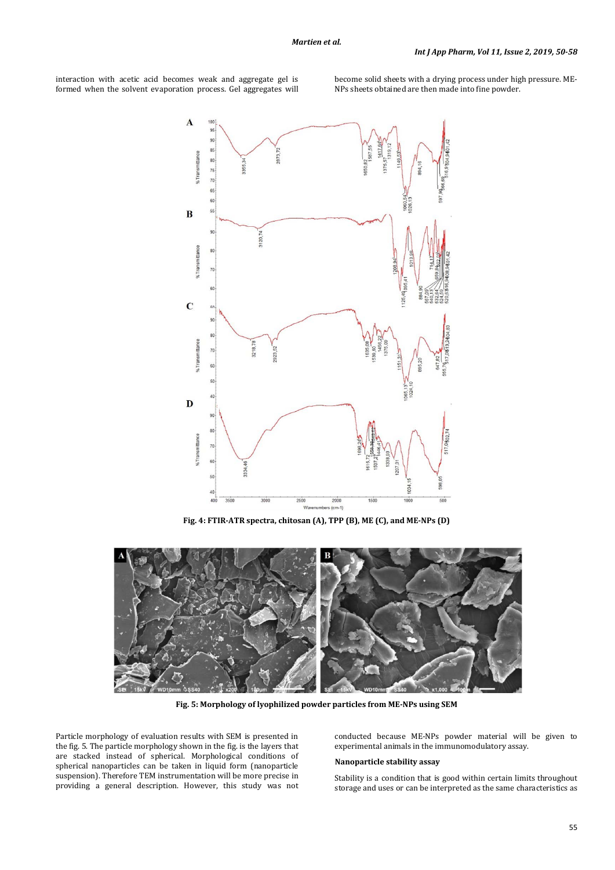$\mathbf{A}$  $\ddot{q}$ 90 85 L. Tranemittanca 80 75  $\overline{7}$  $\epsilon$  $5$  $\bf{B}$ 3120.74 6Transmittance  $\mathbf C$  $\overline{8}$ nemittance 3218.78 G3 KO  $\mathbf{D}$  $\overline{a}$ emittance  $\overline{7}$  $1$ Tran  $\overline{5}$  $361$  $034$  $\frac{4}{3}$  $40<sup>1</sup>$ 3000 2500 2000  $1500$ 100  $500$ 3500 ers (cm-1)

interaction with acetic acid becomes weak and aggregate gel is formed when the solvent evaporation process. Gel aggregates will become solid sheets with a drying process under high pressure. ME-NPs sheets obtained are then made into fine powder.

**Fig. 4: FTIR-ATR spectra, chitosan (A), TPP (B), ME (C), and ME-NPs (D)**



**Fig. 5: Morphology of lyophilized powder particles from ME-NPs using SEM**

Particle morphology of evaluation results with SEM is presented in the fig. 5. The particle morphology shown in the fig. is the layers that are stacked instead of spherical. Morphological conditions of spherical nanoparticles can be taken in liquid form (nanoparticle suspension). Therefore TEM instrumentation will be more precise in providing a general description. However, this study was not conducted because ME-NPs powder material will be given to experimental animals in the immunomodulatory assay.

### **Nanoparticle stability assay**

Stability is a condition that is good within certain limits throughout storage and uses or can be interpreted as the same characteristics as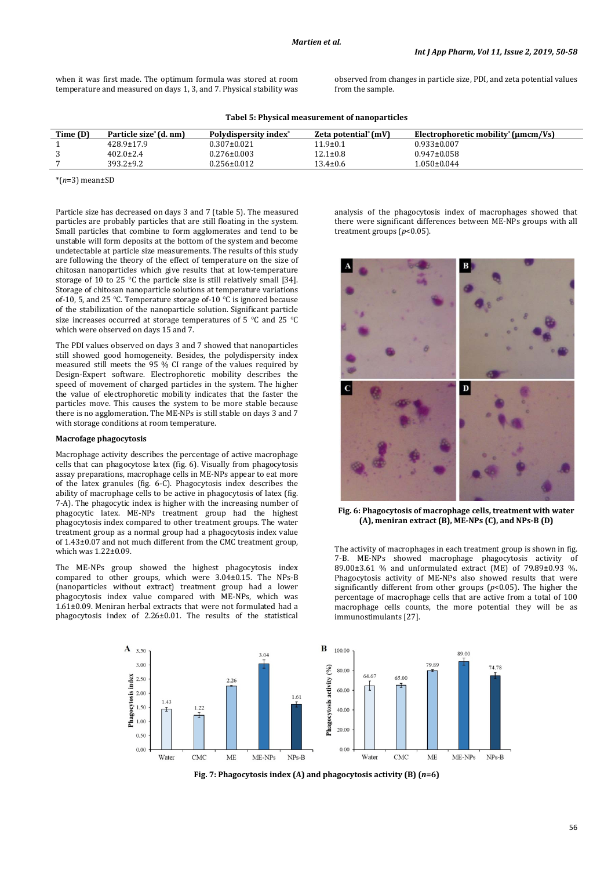when it was first made. The optimum formula was stored at room temperature and measured on days 1, 3, and 7. Physical stability was observed from changes in particle size, PDI, and zeta potential values from the sample.

**Tabel 5: Physical measurement of nanoparticles**

| Time (D)        | Particle size* (d. nm) | Polydispersity index <sup>*</sup> | Zeta potential* (mV) | Electrophoretic mobility <sup>*</sup> ( $\mu$ mcm/Vs) |
|-----------------|------------------------|-----------------------------------|----------------------|-------------------------------------------------------|
| 428.9±17.9      | $0.307 \pm 0.021$      | $11.9 \pm 0.1$                    | $0.933 \pm 0.007$    |                                                       |
| $402.0 \pm 2.4$ | $0.276 \pm 0.003$      | $12.1 \pm 0.8$                    | $0.947 \pm 0.058$    |                                                       |
| $393.2 \pm 9.2$ | $0.256 \pm 0.012$      | $13.4 \pm 0.6$                    | $0.050 \pm 0.044$    |                                                       |

\*(*n*=3) mean±SD

Particle size has decreased on days 3 and 7 (table 5). The measured particles are probably particles that are still floating in the system. Small particles that combine to form agglomerates and tend to be unstable will form deposits at the bottom of the system and become undetectable at particle size measurements. The results of this study are following the theory of the effect of temperature on the size of chitosan nanoparticles which give results that at low-temperature storage of 10 to 25 °C the particle size is still relatively small [34]. Storage of chitosan nanoparticle solutions at temperature variations of-10, 5, and 25 °C. Temperature storage of-10 °C is ignored because of the stabilization of the nanoparticle solution. Significant particle size increases occurred at storage temperatures of 5 °C and 25 °C which were observed on days 15 and 7.

The PDI values observed on days 3 and 7 showed that nanoparticles still showed good homogeneity. Besides, the polydispersity index measured still meets the 95 % CI range of the values required by Design-Expert software. Electrophoretic mobility describes the speed of movement of charged particles in the system. The higher the value of electrophoretic mobility indicates that the faster the particles move. This causes the system to be more stable because there is no agglomeration. The ME-NPs is still stable on days 3 and 7 with storage conditions at room temperature.

#### **Macrofage phagocytosis**

Macrophage activity describes the percentage of active macrophage cells that can phagocytose latex (fig. 6). Visually from phagocytosis assay preparations, macrophage cells in ME-NPs appear to eat more of the latex granules (fig. 6-C). Phagocytosis index describes the ability of macrophage cells to be active in phagocytosis of latex (fig. 7-A). The phagocytic index is higher with the increasing number of phagocytic latex. ME-NPs treatment group had the highest phagocytosis index compared to other treatment groups. The water treatment group as a normal group had a phagocytosis index value of 1.43±0.07 and not much different from the CMC treatment group, which was 1.22±0.09.

The ME-NPs group showed the highest phagocytosis index compared to other groups, which were 3.04±0.15. The NPs-B (nanoparticles without extract) treatment group had a lower phagocytosis index value compared with ME-NPs, which was 1.61±0.09. Meniran herbal extracts that were not formulated had a phagocytosis index of 2.26±0.01. The results of the statistical analysis of the phagocytosis index of macrophages showed that there were significant differences between ME-NPs groups with all treatment groups (*p*<0.05).



**Fig. 6: Phagocytosis of macrophage cells, treatment with water (A), meniran extract (B), ME-NPs (C), and NPs-B (D)**

The activity of macrophages in each treatment group is shown in fig. 7-B. ME-NPs showed macrophage phagocytosis activity of 89.00±3.61 % and unformulated extract (ME) of 79.89±0.93 %. Phagocytosis activity of ME-NPs also showed results that were significantly different from other groups (*p*<0.05). The higher the percentage of macrophage cells that are active from a total of 100 macrophage cells counts, the more potential they will be as immunostimulants [27].



**Fig. 7: Phagocytosis index (A) and phagocytosis activity (B) (***n***=6)**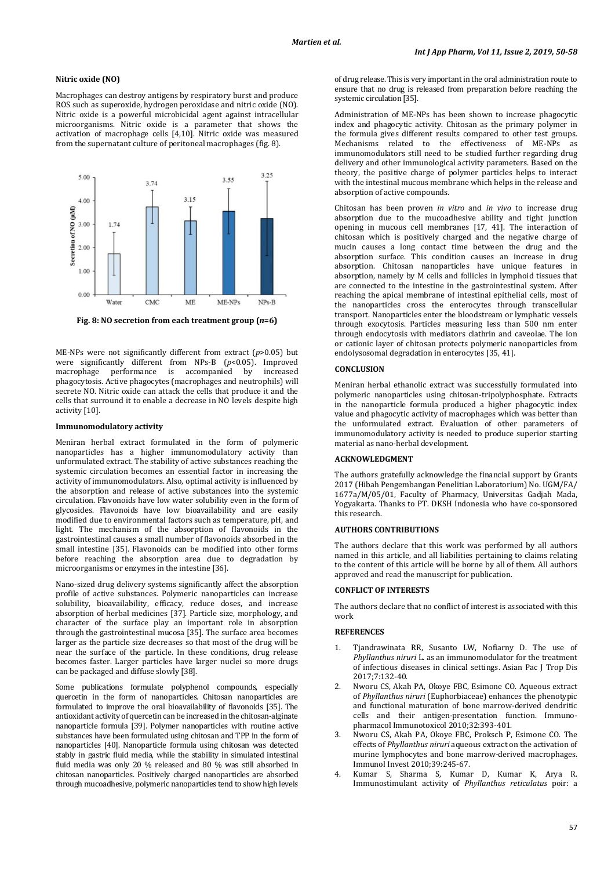#### **Nitric oxide (NO)**

Macrophages can destroy antigens by respiratory burst and produce ROS such as superoxide, hydrogen peroxidase and nitric oxide (NO). Nitric oxide is a powerful microbicidal agent against intracellular microorganisms. Nitric oxide is a parameter that shows the activation of macrophage cells [4,10]. Nitric oxide was measured from the supernatant culture of peritoneal macrophages (fig. 8).



**Fig. 8: NO secretion from each treatment group (***n***=6)**

ME-NPs were not significantly different from extract (*p*>0.05) but were significantly different from NPs-B (*p*<0.05). Improved macrophage performance is accompanied by increased performance is accompanied phagocytosis. Active phagocytes (macrophages and neutrophils) will secrete NO. Nitric oxide can attack the cells that produce it and the cells that surround it to enable a decrease in NO levels despite high activity [10].

### **Immunomodulatory activity**

Meniran herbal extract formulated in the form of polymeric nanoparticles has a higher immunomodulatory activity than unformulated extract. The stability of active substances reaching the systemic circulation becomes an essential factor in increasing the activity of immunomodulators. Also, optimal activity is influenced by the absorption and release of active substances into the systemic circulation. Flavonoids have low water solubility even in the form of glycosides. Flavonoids have low bioavailability and are easily modified due to environmental factors such as temperature, pH, and light. The mechanism of the absorption of flavonoids in the gastrointestinal causes a small number of flavonoids absorbed in the small intestine [35]. Flavonoids can be modified into other forms before reaching the absorption area due to degradation by microorganisms or enzymes in the intestine [36].

Nano-sized drug delivery systems significantly affect the absorption profile of active substances. Polymeric nanoparticles can increase solubility, bioavailability, efficacy, reduce doses, and increase absorption of herbal medicines [37]. Particle size, morphology, and character of the surface play an important role in absorption through the gastrointestinal mucosa [35]. The surface area becomes larger as the particle size decreases so that most of the drug will be near the surface of the particle. In these conditions, drug release becomes faster. Larger particles have larger nuclei so more drugs can be packaged and diffuse slowly [38].

Some publications formulate polyphenol compounds, especially quercetin in the form of nanoparticles. Chitosan nanoparticles are formulated to improve the oral bioavailability of flavonoids [35]. The antioxidant activity of quercetin can be increased in the chitosan-alginate nanoparticle formula [39]. Polymer nanoparticles with routine active substances have been formulated using chitosan and TPP in the form of nanoparticles [40]. Nanoparticle formula using chitosan was detected stably in gastric fluid media, while the stability in simulated intestinal fluid media was only 20 % released and 80 % was still absorbed in chitosan nanoparticles. Positively charged nanoparticles are absorbed through mucoadhesive, polymeric nanoparticles tend to show high levels of drug release. This is very important in the oral administration route to ensure that no drug is released from preparation before reaching the systemic circulation [35].

Administration of ME-NPs has been shown to increase phagocytic index and phagocytic activity. Chitosan as the primary polymer in the formula gives different results compared to other test groups. Mechanisms related to the effectiveness of ME-NPs as immunomodulators still need to be studied further regarding drug delivery and other immunological activity parameters. Based on the theory, the positive charge of polymer particles helps to interact with the intestinal mucous membrane which helps in the release and absorption of active compounds.

Chitosan has been proven *in vitro* and *in vivo* to increase drug absorption due to the mucoadhesive ability and tight junction opening in mucous cell membranes [17, 41]. The interaction of chitosan which is positively charged and the negative charge of mucin causes a long contact time between the drug and the absorption surface. This condition causes an increase in drug absorption. Chitosan nanoparticles have unique features in absorption, namely by M cells and follicles in lymphoid tissues that are connected to the intestine in the gastrointestinal system. After reaching the apical membrane of intestinal epithelial cells, most of the nanoparticles cross the enterocytes through transcellular transport. Nanoparticles enter the bloodstream or lymphatic vessels through exocytosis. Particles measuring less than 500 nm enter through endocytosis with mediators clathrin and caveolae. The ion or cationic layer of chitosan protects polymeric nanoparticles from endolysosomal degradation in enterocytes [35, 41].

### **CONCLUSION**

Meniran herbal ethanolic extract was successfully formulated into polymeric nanoparticles using chitosan-tripolyphosphate. Extracts in the nanoparticle formula produced a higher phagocytic index value and phagocytic activity of macrophages which was better than the unformulated extract. Evaluation of other parameters of immunomodulatory activity is needed to produce superior starting material as nano-herbal development.

# **ACKNOWLEDGMENT**

The authors gratefully acknowledge the financial support by Grants 2017 (Hibah Pengembangan Penelitian Laboratorium) No. UGM/FA/ 1677a/M/05/01, Faculty of Pharmacy, Universitas Gadjah Mada, Yogyakarta. Thanks to PT. DKSH Indonesia who have co-sponsored this research.

# **AUTHORS CONTRIBUTIONS**

The authors declare that this work was performed by all authors named in this article, and all liabilities pertaining to claims relating to the content of this article will be borne by all of them. All authors approved and read the manuscript for publication.

### **CONFLICT OF INTERESTS**

The authors declare that no conflict of interest is associated with this work

#### **REFERENCES**

- 1. Tjandrawinata RR, Susanto LW, Nofiarny D. The use of *Phyllanthus niruri* L. as an immunomodulator for the treatment of infectious diseases in clinical settings. Asian Pac J Trop Dis 2017;7:132-40.
- 2. Nworu CS, Akah PA, Okoye FBC, Esimone CO. Aqueous extract of *Phyllanthus niruri* (Euphorbiaceae) enhances the phenotypic and functional maturation of bone marrow-derived dendritic cells and their antigen-presentation function. Immunopharmacol Immunotoxicol 2010;32:393-401.
- 3. Nworu CS, Akah PA, Okoye FBC, Proksch P, Esimone CO. The effects of *Phyllanthus niruri* aqueous extract on the activation of murine lymphocytes and bone marrow-derived macrophages. Immunol Invest 2010;39:245-67.
- 4. Kumar S, Sharma S, Kumar D, Kumar K, Arya R. Immunostimulant activity of *Phyllanthus reticulatus* poir: a